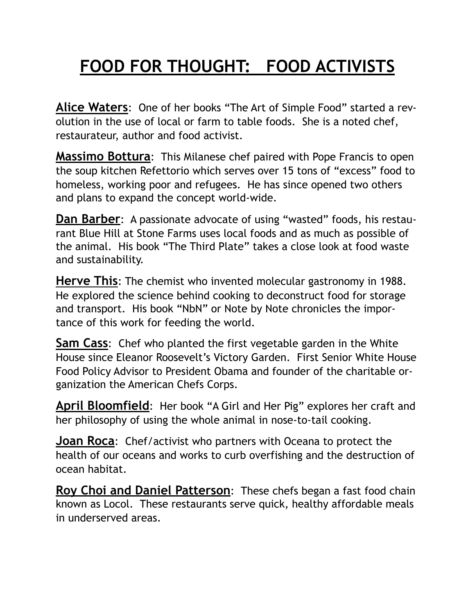# **FOOD FOR THOUGHT: FOOD ACTIVISTS**

**Alice Waters**: One of her books "The Art of Simple Food" started a revolution in the use of local or farm to table foods. She is a noted chef, restaurateur, author and food activist.

**Massimo Bottura**: This Milanese chef paired with Pope Francis to open the soup kitchen Refettorio which serves over 15 tons of "excess" food to homeless, working poor and refugees. He has since opened two others and plans to expand the concept world-wide.

**Dan Barber:** A passionate advocate of using "wasted" foods, his restaurant Blue Hill at Stone Farms uses local foods and as much as possible of the animal. His book "The Third Plate" takes a close look at food waste and sustainability.

**Herve This**: The chemist who invented molecular gastronomy in 1988. He explored the science behind cooking to deconstruct food for storage and transport. His book "NbN" or Note by Note chronicles the importance of this work for feeding the world.

**Sam Cass**: Chef who planted the first vegetable garden in the White House since Eleanor Roosevelt's Victory Garden. First Senior White House Food Policy Advisor to President Obama and founder of the charitable organization the American Chefs Corps.

**April Bloomfield**: Her book "A Girl and Her Pig" explores her craft and her philosophy of using the whole animal in nose-to-tail cooking.

**Joan Roca**: Chef/activist who partners with Oceana to protect the health of our oceans and works to curb overfishing and the destruction of ocean habitat.

**Roy Choi and Daniel Patterson**: These chefs began a fast food chain known as Locol. These restaurants serve quick, healthy affordable meals in underserved areas.